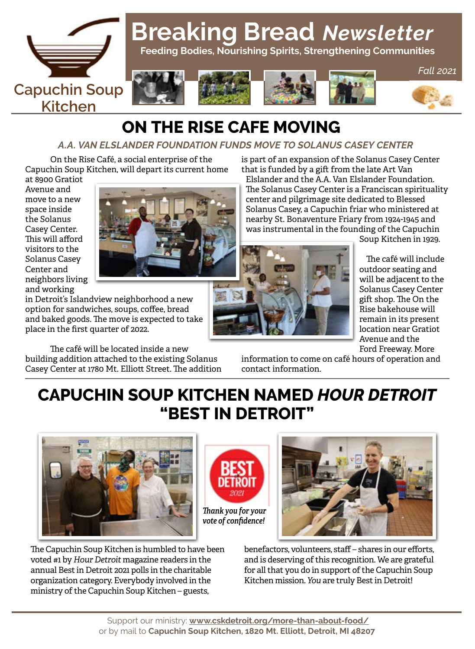

# **Breaking Bread** *Newsletter*

 **Feeding Bodies, Nourishing Spirits, Strengthening Communities**









*Fall 2021*

# **ON THE RISE CAFE MOVING**

#### *A.A. VAN ELSLANDER FOUNDATION FUNDS MOVE TO SOLANUS CASEY CENTER*

On the Rise Café, a social enterprise of the Capuchin Soup Kitchen, will depart its current home

at 8900 Gratiot Avenue and move to a new space inside the Solanus Casey Center. This will afford visitors to the Solanus Casey Center and neighbors living and working



in Detroit's Islandview neighborhood a new option for sandwiches, soups, coffee, bread and baked goods. The move is expected to take place in the first quarter of 2022.

The café will be located inside a new building addition attached to the existing Solanus Casey Center at 1780 Mt. Elliott Street. The addition is part of an expansion of the Solanus Casey Center that is funded by a gift from the late Art Van

Elslander and the A.A. Van Elslander Foundation. The Solanus Casey Center is a Franciscan spirituality center and pilgrimage site dedicated to Blessed Solanus Casey, a Capuchin friar who ministered at nearby St. Bonaventure Friary from 1924-1945 and was instrumental in the founding of the Capuchin



Soup Kitchen in 1929.

The café will include outdoor seating and will be adjacent to the Solanus Casey Center gift shop. The On the Rise bakehouse will remain in its present location near Gratiot Avenue and the Ford Freeway. More

information to come on café hours of operation and contact information.

# **CAPUCHIN SOUP KITCHEN NAMED** *HOUR DETROIT* **"BEST IN DETROIT"**







The Capuchin Soup Kitchen is humbled to have been voted #1 by *Hour Detroit* magazine readers in the annual Best in Detroit 2021 polls in the charitable organization category. Everybody involved in the ministry of the Capuchin Soup Kitchen – guests,

benefactors, volunteers, staff – shares in our efforts, and is deserving of this recognition. We are grateful for all that you do in support of the Capuchin Soup Kitchen mission. *You* are truly Best in Detroit!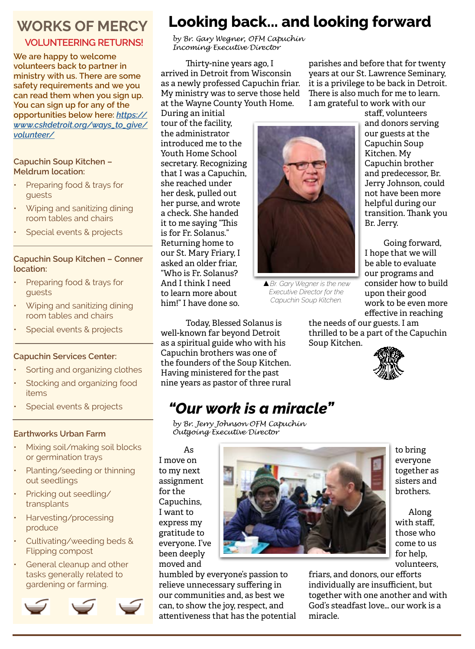### **WORKS OF MERCY**

#### **VOLUNTEERING RETURNS!**

**We are happy to welcome volunteers back to partner in ministry with us. There are some safety requirements and we you can read them when you sign up. You can sign up for any of the opportunities below here:** *[https://](https://www.cskdetroit.org/ways_to_give/volunteer/) [www.cskdetroit.org/ways\\_to\\_give/](https://www.cskdetroit.org/ways_to_give/volunteer/) [volunteer/](https://www.cskdetroit.org/ways_to_give/volunteer/)*

#### **Capuchin Soup Kitchen – Meldrum location:**

- Preparing food & trays for guests
- Wiping and sanitizing dining room tables and chairs
- Special events & projects

#### **Capuchin Soup Kitchen – Conner location:**

- Preparing food & trays for guests
- Wiping and sanitizing dining room tables and chairs
- Special events & projects

#### **Capuchin Services Center:**

- Sorting and organizing clothes
- Stocking and organizing food items
- Special events & projects

#### **Earthworks Urban Farm**

- Mixing soil/making soil blocks or germination trays
- Planting/seeding or thinning out seedlings
- Pricking out seedling/ transplants
- Harvesting/processing produce
- Cultivating/weeding beds & Flipping compost
- General cleanup and other tasks generally related to gardening or farming.





# **Looking back... and looking forward**

*by Br. Gary Wegner, OFM Capuchin Incoming Executive Director*

Thirty-nine years ago, I arrived in Detroit from Wisconsin as a newly professed Capuchin friar. My ministry was to serve those held at the Wayne County Youth Home.

During an initial tour of the facility, the administrator introduced me to the Youth Home School secretary. Recognizing that I was a Capuchin, she reached under her desk, pulled out her purse, and wrote a check. She handed it to me saying "This is for Fr. Solanus." Returning home to our St. Mary Friary, I asked an older friar, "Who is Fr. Solanus? And I think I need to learn more about him!" I have done so.



▲*Br. Gary Wegner is the new Executive Director for the Capuchin Soup Kitchen.*

Today, Blessed Solanus is well-known far beyond Detroit as a spiritual guide who with his Capuchin brothers was one of the founders of the Soup Kitchen. Having ministered for the past nine years as pastor of three rural parishes and before that for twenty years at our St. Lawrence Seminary, it is a privilege to be back in Detroit. There is also much for me to learn. I am grateful to work with our

> staff, volunteers and donors serving our guests at the Capuchin Soup Kitchen. My Capuchin brother and predecessor, Br. Jerry Johnson, could not have been more helpful during our transition. Thank you Br. Jerry.

Going forward, I hope that we will be able to evaluate our programs and consider how to build upon their good work to be even more effective in reaching

the needs of our guests. I am thrilled to be a part of the Capuchin Soup Kitchen.



# *"Our work is a miracle"*

*by Br. Jerry Johnson OFM Capuchin Outgoing Executive Director*

humbled by everyone's passion to relieve unnecessary suffering in our communities and, as best we can, to show the joy, respect, and attentiveness that has the potential

As I move on to my next assignment for the Capuchins, I want to express my gratitude to everyone. I've been deeply moved and



to bring everyone together as sisters and brothers.

Along with staff. those who come to us for help, volunteers,

friars, and donors, our efforts individually are insufficient, but together with one another and with God's steadfast love… our work is a miracle.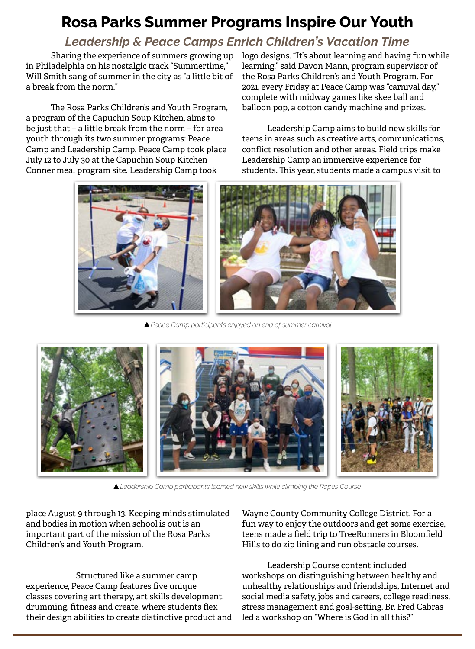# **Rosa Parks Summer Programs Inspire Our Youth**

### *Leadership & Peace Camps Enrich Children's Vacation Time*

Sharing the experience of summers growing up in Philadelphia on his nostalgic track "Summertime," Will Smith sang of summer in the city as "a little bit of a break from the norm."

The Rosa Parks Children's and Youth Program, a program of the Capuchin Soup Kitchen, aims to be just that – a little break from the norm – for area youth through its two summer programs: Peace Camp and Leadership Camp. Peace Camp took place July 12 to July 30 at the Capuchin Soup Kitchen Conner meal program site. Leadership Camp took

logo designs. "It's about learning and having fun while learning," said Davon Mann, program supervisor of the Rosa Parks Children's and Youth Program. For 2021, every Friday at Peace Camp was "carnival day," complete with midway games like skee ball and balloon pop, a cotton candy machine and prizes.

Leadership Camp aims to build new skills for teens in areas such as creative arts, communications, conflict resolution and other areas. Field trips make Leadership Camp an immersive experience for students. This year, students made a campus visit to





▲*Peace Camp participants enjoyed an end of summer carnival.*



▲*Leadership Camp participants learned new skills while climbing the Ropes Course.*

place August 9 through 13. Keeping minds stimulated and bodies in motion when school is out is an important part of the mission of the Rosa Parks Children's and Youth Program.

 Structured like a summer camp experience, Peace Camp features five unique classes covering art therapy, art skills development, drumming, fitness and create, where students flex their design abilities to create distinctive product and Wayne County Community College District. For a fun way to enjoy the outdoors and get some exercise, teens made a field trip to TreeRunners in Bloomfield Hills to do zip lining and run obstacle courses.

Leadership Course content included workshops on distinguishing between healthy and unhealthy relationships and friendships, Internet and social media safety, jobs and careers, college readiness, stress management and goal-setting. Br. Fred Cabras led a workshop on "Where is God in all this?"